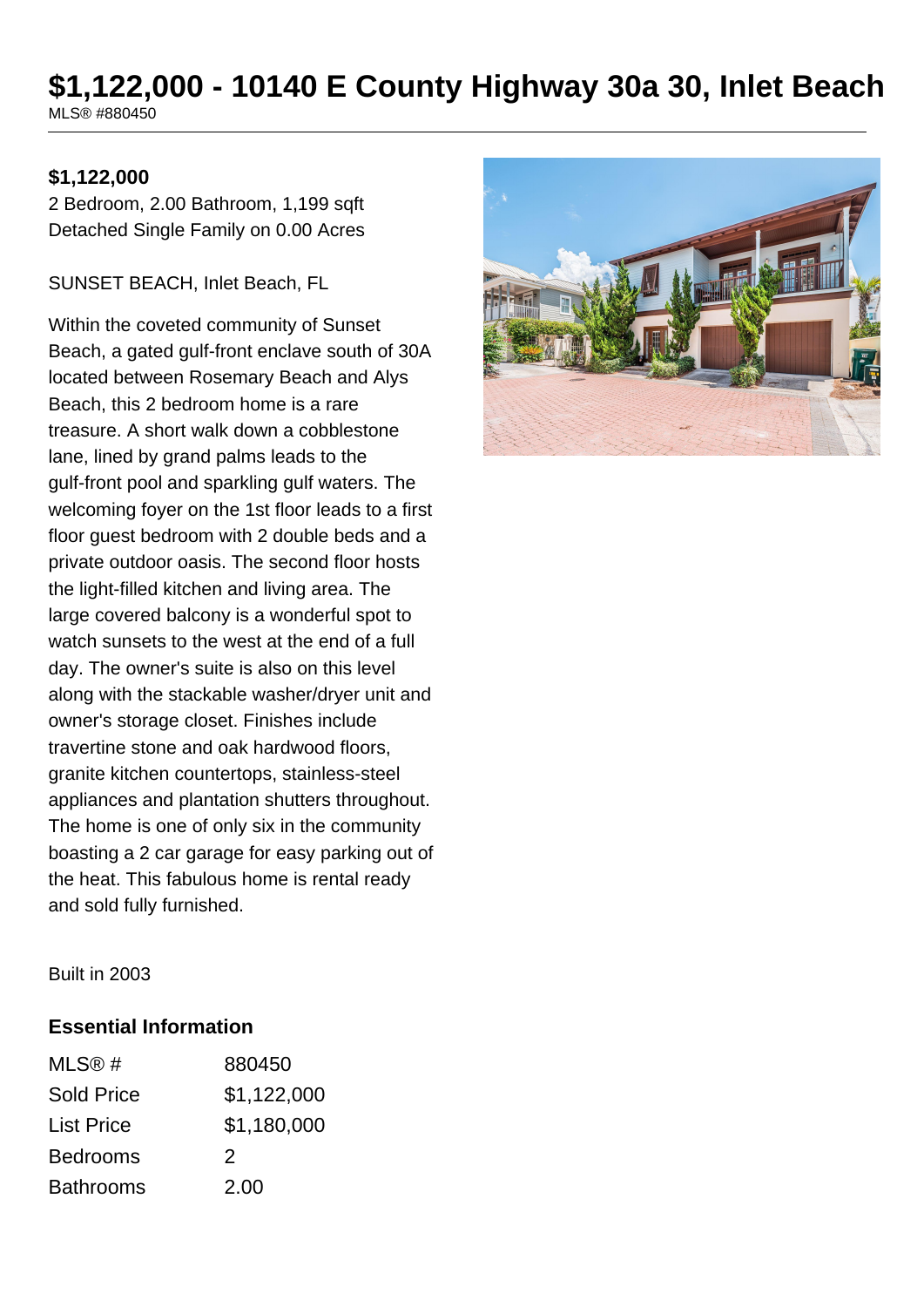# **\$1,122,000 - 10140 E County Highway 30a 30, Inlet Beach**

MLS® #880450

#### **\$1,122,000**

2 Bedroom, 2.00 Bathroom, 1,199 sqft Detached Single Family on 0.00 Acres

SUNSET BEACH, Inlet Beach, FL

Within the coveted community of Sunset Beach, a gated gulf-front enclave south of 30A located between Rosemary Beach and Alys Beach, this 2 bedroom home is a rare treasure. A short walk down a cobblestone lane, lined by grand palms leads to the gulf-front pool and sparkling gulf waters. The welcoming foyer on the 1st floor leads to a first floor guest bedroom with 2 double beds and a private outdoor oasis. The second floor hosts the light-filled kitchen and living area. The large covered balcony is a wonderful spot to watch sunsets to the west at the end of a full day. The owner's suite is also on this level along with the stackable washer/dryer unit and owner's storage closet. Finishes include travertine stone and oak hardwood floors, granite kitchen countertops, stainless-steel appliances and plantation shutters throughout. The home is one of only six in the community boasting a 2 car garage for easy parking out of the heat. This fabulous home is rental ready and sold fully furnished.



Built in 2003

#### **Essential Information**

| MLS@#             | 880450      |
|-------------------|-------------|
| Sold Price        | \$1,122,000 |
| <b>List Price</b> | \$1,180,000 |
| <b>Bedrooms</b>   | 2           |
| <b>Bathrooms</b>  | 2.00        |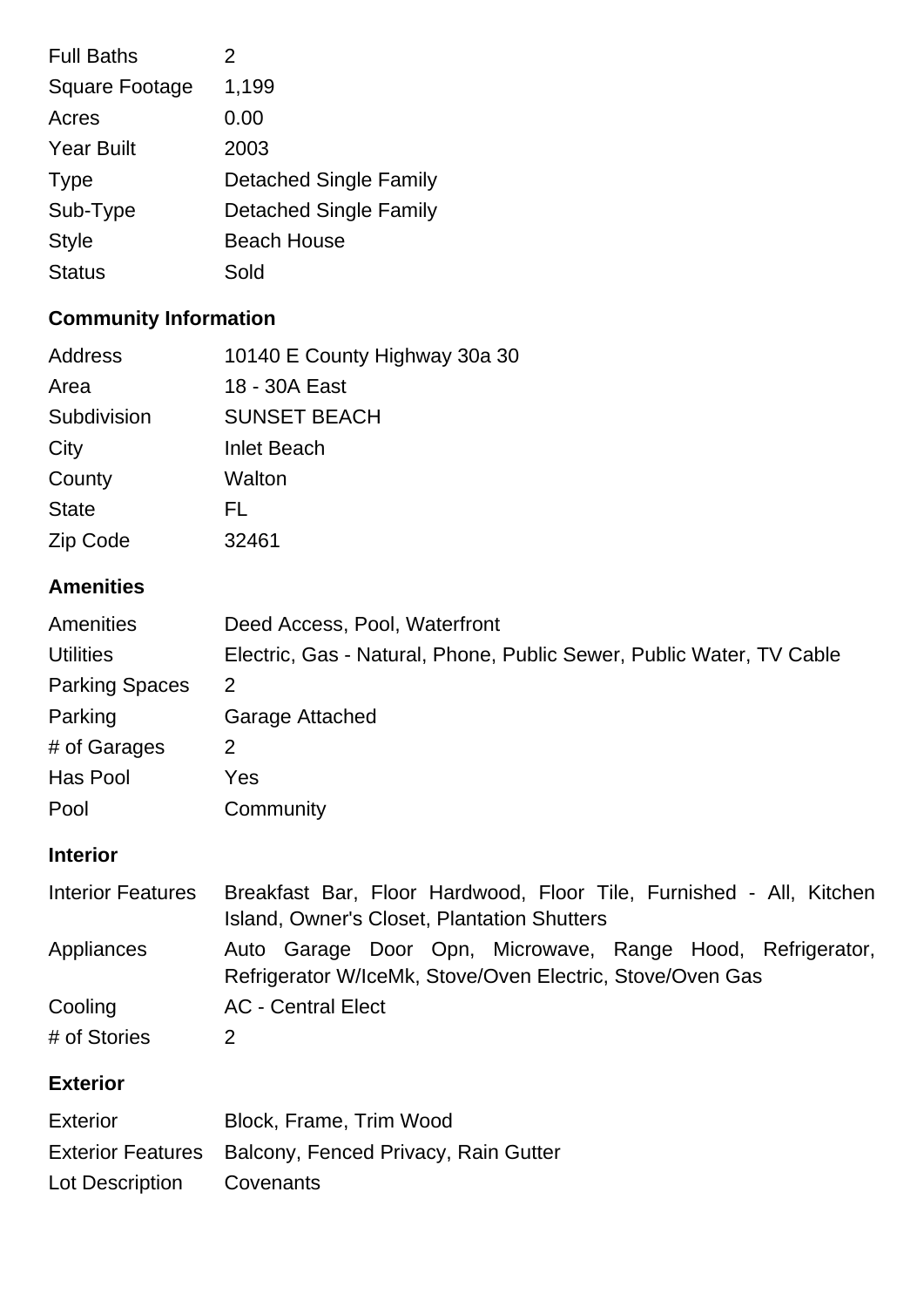| 2                             |
|-------------------------------|
| 1,199                         |
| 0.00                          |
| 2003                          |
| <b>Detached Single Family</b> |
| <b>Detached Single Family</b> |
| <b>Beach House</b>            |
| Sold                          |
|                               |

## **Community Information**

| Address      | 10140 E County Highway 30a 30 |
|--------------|-------------------------------|
| Area         | 18 - 30A East                 |
| Subdivision  | <b>SUNSET BEACH</b>           |
| City         | <b>Inlet Beach</b>            |
| County       | Walton                        |
| <b>State</b> | FL                            |
| Zip Code     | 32461                         |

## **Amenities**

| Amenities             | Deed Access, Pool, Waterfront                                        |
|-----------------------|----------------------------------------------------------------------|
| <b>Utilities</b>      | Electric, Gas - Natural, Phone, Public Sewer, Public Water, TV Cable |
| <b>Parking Spaces</b> | 2                                                                    |
| Parking               | Garage Attached                                                      |
| # of Garages          | 2                                                                    |
| Has Pool              | Yes.                                                                 |
| Pool                  | Community                                                            |

## **Interior**

| <b>Interior Features</b> | Breakfast Bar, Floor Hardwood, Floor Tile, Furnished - All, Kitchen |  |  |
|--------------------------|---------------------------------------------------------------------|--|--|
|                          | Island, Owner's Closet, Plantation Shutters                         |  |  |
| Appliances               | Auto Garage Door Opn, Microwave, Range Hood, Refrigerator,          |  |  |
|                          | Refrigerator W/IceMk, Stove/Oven Electric, Stove/Oven Gas           |  |  |
| Cooling                  | <b>AC</b> - Central Elect                                           |  |  |
| # of Stories             |                                                                     |  |  |

## **Exterior**

| <b>Exterior</b> | Block, Frame, Trim Wood                                |
|-----------------|--------------------------------------------------------|
|                 | Exterior Features Balcony, Fenced Privacy, Rain Gutter |
| Lot Description | Covenants                                              |